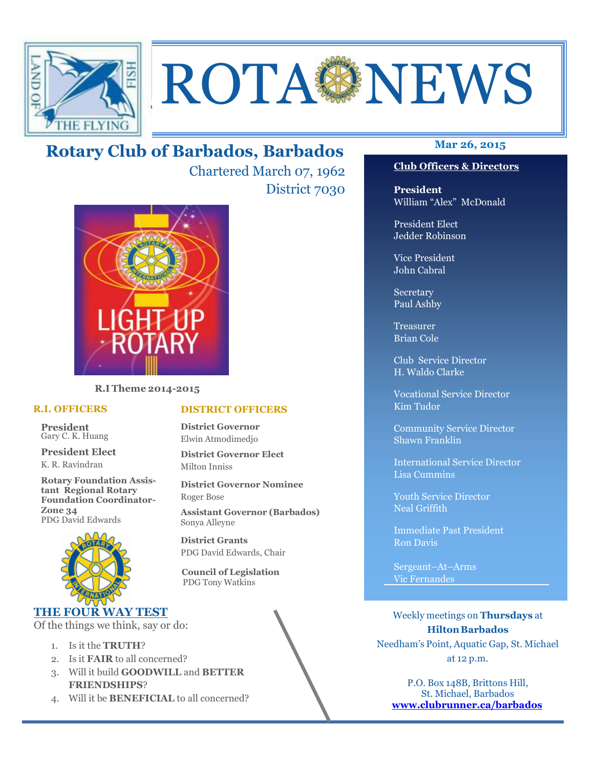

# ROTA NEWS

## **Mar 26, 2015 Rotary Club of Barbados, Barbados**

Chartered March 07, 1962 District 7030



**R.I Theme 2014-2015** 

#### **R.I. OFFICERS**

**President** Gary C. K. Huang

**President Elect** K. R. Ravindran

**Rotary Foundation Assistant Regional Rotary Foundation Coordinator-Zone 34**  PDG David Edwards



### **THE FOUR WAY TEST**

Of the things we think, say or do:

- 1. Is it the **TRUTH**?
- 2. Is it **FAIR** to all concerned?
- 3. Will it build **GOODWILL** and **BETTER FRIENDSHIPS**?
- 4. Will it be **BENEFICIAL** to all concerned?

#### **Club Officers & Directors**

**President** William "Alex" McDonald

President Elect Jedder Robinson

Vice President John Cabral

Secretary Paul Ashby

Treasurer Brian Cole

Club Service Director H. Waldo Clarke

Vocational Service Director Kim Tudor

Community Service Director Shawn Franklin

International Service Director Lisa Cummins

Youth Service Director Neal Griffith

Immediate Past President Ron Davis

Sergeant–At–Arms Vic Fernandes

Weekly meetings on **Thursdays** at **Hilton Barbados** Needham's Point, Aquatic Gap, St. Michael at 12 p.m.

P.O. Box 148B, Brittons Hill, St. Michael, Barbados **www.clubrunner.ca/barbados**

#### **DISTRICT OFFICERS**

**District Governor** Elwin Atmodimedjo

**District Governor Elect** Milton Inniss

**District Governor Nominee**  Roger Bose

**Assistant Governor (Barbados)** Sonya Alleyne

**District Grants**  PDG David Edwards, Chair

 **Council of Legislation**  PDG Tony Watkins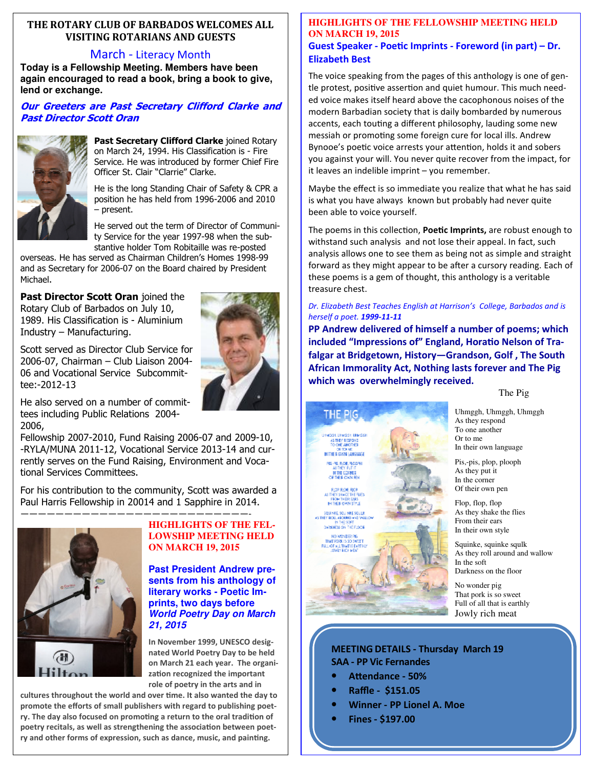#### **THE ROTARY CLUB OF BARBADOS WELCOMES ALL VISITING ROTARIANS AND GUESTS**

#### March - Literacy Month

**Today is a Fellowship Meeting. Members have been again encouraged to read a book, bring a book to give, lend or exchange.** 

#### **Our Greeters are Past Secretary Clifford Clarke and Past Director Scott Oran**



**Past Secretary Clifford Clarke** joined Rotary on March 24, 1994. His Classification is - Fire Service. He was introduced by former Chief Fire Officer St. Clair "Clarrie" Clarke.

He is the long Standing Chair of Safety & CPR a position he has held from 1996-2006 and 2010 – present.

He served out the term of Director of Community Service for the year 1997-98 when the substantive holder Tom Robitaille was re-posted

overseas. He has served as Chairman Children's Homes 1998-99 and as Secretary for 2006-07 on the Board chaired by President Michael.

**Past Director Scott Oran** joined the Rotary Club of Barbados on July 10, 1989. His Classification is - Aluminium Industry – Manufacturing.



Scott served as Director Club Service for 2006-07, Chairman – Club Liaison 2004- 06 and Vocational Service Subcommittee:-2012-13

He also served on a number of committees including Public Relations 2004- 2006,

Fellowship 2007-2010, Fund Raising 2006-07 and 2009-10, -RYLA/MUNA 2011-12, Vocational Service 2013-14 and currently serves on the Fund Raising, Environment and Vocational Services Committees.

For his contribution to the community, Scott was awarded a Paul Harris Fellowship in 20014 and 1 Sapphire in 2014.



#### **HIGHLIGHTS OF THE FEL-LOWSHIP MEETING HELD ON MARCH 19, 2015**

**Past President Andrew presents from his anthology of literary works - Poetic Imprints, two days before World Poetry Day on March 21, 2015** 

**In November 1999, UNESCO designated World Poetry Day to be held on March 21 each year. The organi**zation recognized the important **role of poetry in the arts and in** 

poetry recitals, as well as strengthening the association between poetcultures throughout the world and over time. It also wanted the day to **promote the efforts of small publishers with regard to publishing poet**ry. The day also focused on promoting a return to the oral tradition of ry and other forms of expression, such as dance, music, and painting.

#### **HIGHLIGHTS OF THE FELLOWSHIP MEETING HELD ON MARCH 19, 2015**

#### Guest Speaker - Poetic Imprints - Foreword (in part) – Dr. **Elizabeth Best**

The voice speaking from the pages of this anthology is one of gentle protest, positive assertion and quiet humour. This much needed voice makes itself heard above the cacophonous noises of the modern Barbadian society that is daily bombarded by numerous accents, each touting a different philosophy, lauding some new messiah or promoting some foreign cure for local ills. Andrew Bynooe's poetic voice arrests your attention, holds it and sobers you against your will. You never quite recover from the impact, for it leaves an indelible imprint – you remember.

Maybe the effect is so immediate you realize that what he has said is what you have always known but probably had never quite been able to voice yourself.

The poems in this collection, **Poetic Imprints,** are robust enough to withstand such analysis and not lose their appeal. In fact, such analysis allows one to see them as being not as simple and straight forward as they might appear to be after a cursory reading. Each of these poems is a gem of thought, this anthology is a veritable treasure chest.

*Dr. Elizabeth Best Teaches English at Harrison's College, Barbados and is herself a poet. 1999-11-11* 

**PP Andrew delivered of himself a number of poems; which**  included "Impressions of" England, Horatio Nelson of Tra**falgar at Bridgetown, History—Grandson, Golf , The South African Immorality Act, Nothing lasts forever and The Pig which was overwhelmingly received.** 

The Pig

THE PIG. AS THEY RESPOND<br>TO ONE ANOTHER OR TO ME<br>IN THEIR CWN LANGUAGE PS-PS-ROB, ROOM AS DIEN PATIT.<br>In the Corner OF THEIR CIVIL REN FLOR ROK RICH PLOM PLOW MUSH<br>A THEY SHAKE THE FLIES<br>FROM TREIR GARS<br>IM THEIR OWN STYLE SQUI NEE SQUI NEE SQUILE<br>AS THEY ROLL AROUND AND VALLO **DAMINES ON THE FLOCK.** NO WONDER PIG THAT PORK IN 2017

Uhmggh, Uhmggh, Uhmggh As they respond To one another Or to me In their own language

Pis,-pis, plop, plooph As they put it In the corner Of their own pen

Flop, flop, flop As they shake the flies From their ears In their own style

Squinke, squinke squlk As they roll around and wallow In the soft Darkness on the floor

No wonder pig That pork is so sweet Full of all that is earthly Jowly rich meat

#### **MEETING DETAILS - Thursday March 19 SAA - PP Vic Fernandes**

- **Attendance 50%**
- **Raffle \$151.05**
- **Winner PP Lionel A. Moe**
- **Fines \$197.00**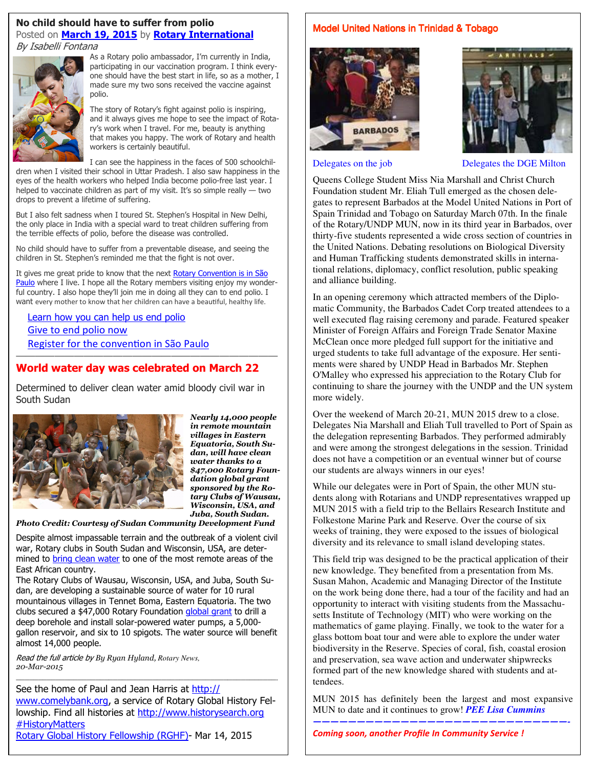#### **No child should have to suffer from polio**  Posted on **March 19, 2015** by **Rotary International** By Isabelli Fontana



As a Rotary polio ambassador, I'm currently in India, participating in our vaccination program. I think everyone should have the best start in life, so as a mother, I made sure my two sons received the vaccine against polio.

The story of Rotary's fight against polio is inspiring, and it always gives me hope to see the impact of Rotary's work when I travel. For me, beauty is anything that makes you happy. The work of Rotary and health workers is certainly beautiful.

I can see the happiness in the faces of 500 schoolchil-

dren when I visited their school in Uttar Pradesh. I also saw happiness in the eyes of the health workers who helped India become polio-free last year. I helped to vaccinate children as part of my visit. It's so simple really - two drops to prevent a lifetime of suffering.

But I also felt sadness when I toured St. Stephen's Hospital in New Delhi, the only place in India with a special ward to treat children suffering from the terrible effects of polio, before the disease was controlled.

No child should have to suffer from a preventable disease, and seeing the children in St. Stephen's reminded me that the fight is not over.

It gives me great pride to know that the next Rotary Convention is in São Paulo where I live. I hope all the Rotary members visiting enjoy my wonderful country. I also hope they'll join me in doing all they can to end polio. I want every mother to know that her children can have a beautiful, healthy life.

Learn how you can help us end polio Give to end polio now Register for the convention in São Paulo

#### **World water day was celebrated on March 22**

———————————————————————————

Determined to deliver clean water amid bloody civil war in South Sudan



*Nearly 14,000 people in remote mountain villages in Eastern Equatoria, South Sudan, will have clean water thanks to a \$47,000 Rotary Foundation global grant sponsored by the Rotary Clubs of Wausau, Wisconsin, USA, and Juba, South Sudan.* 

*Photo Credit: Courtesy of Sudan Community Development Fund* 

Despite almost impassable terrain and the outbreak of a violent civil war, Rotary clubs in South Sudan and Wisconsin, USA, are determined to **bring clean water** to one of the most remote areas of the East African country.

The Rotary Clubs of Wausau, Wisconsin, USA, and Juba, South Sudan, are developing a sustainable source of water for 10 rural mountainous villages in Tennet Boma, Eastern Equatoria. The two clubs secured a \$47,000 Rotary Foundation global grant to drill a deep borehole and install solar-powered water pumps, a 5,000 gallon reservoir, and six to 10 spigots. The water source will benefit almost 14,000 people.

Read the full article by *By Ryan Hyland, Rotary News, 20-Mar-2015* 

**Rotary Global History Fellowship (RGHF)**- Mar 14, 2015 See the home of Paul and Jean Harris at http:// www.comelybank.org, a service of Rotary Global History Fellowship. Find all histories at http://www.historysearch.org # HistoryMatters

———————————————————————————————————————————————————————————-

Model United Nations in Trinidad & Tobago





Delegates on the job Delegates the DGE Milton

Queens College Student Miss Nia Marshall and Christ Church Foundation student Mr. Eliah Tull emerged as the chosen delegates to represent Barbados at the Model United Nations in Port of Spain Trinidad and Tobago on Saturday March 07th. In the finale of the Rotary/UNDP MUN, now in its third year in Barbados, over thirty-five students represented a wide cross section of countries in the United Nations. Debating resolutions on Biological Diversity and Human Trafficking students demonstrated skills in international relations, diplomacy, conflict resolution, public speaking and alliance building.

In an opening ceremony which attracted members of the Diplomatic Community, the Barbados Cadet Corp treated attendees to a well executed flag raising ceremony and parade. Featured speaker Minister of Foreign Affairs and Foreign Trade Senator Maxine McClean once more pledged full support for the initiative and urged students to take full advantage of the exposure. Her sentiments were shared by UNDP Head in Barbados Mr. Stephen O'Malley who expressed his appreciation to the Rotary Club for continuing to share the journey with the UNDP and the UN system more widely.

Over the weekend of March 20-21, MUN 2015 drew to a close. Delegates Nia Marshall and Eliah Tull travelled to Port of Spain as the delegation representing Barbados. They performed admirably and were among the strongest delegations in the session. Trinidad does not have a competition or an eventual winner but of course our students are always winners in our eyes!

While our delegates were in Port of Spain, the other MUN students along with Rotarians and UNDP representatives wrapped up MUN 2015 with a field trip to the Bellairs Research Institute and Folkestone Marine Park and Reserve. Over the course of six weeks of training, they were exposed to the issues of biological diversity and its relevance to small island developing states.

This field trip was designed to be the practical application of their new knowledge. They benefited from a presentation from Ms. Susan Mahon, Academic and Managing Director of the Institute on the work being done there, had a tour of the facility and had an opportunity to interact with visiting students from the Massachusetts Institute of Technology (MIT) who were working on the mathematics of game playing. Finally, we took to the water for a glass bottom boat tour and were able to explore the under water biodiversity in the Reserve. Species of coral, fish, coastal erosion and preservation, sea wave action and underwater shipwrecks formed part of the new knowledge shared with students and attendees.

MUN 2015 has definitely been the largest and most expansive MUN to date and it continues to grow! *PEE Lisa Cummins —————————————————————————————-* 

*Coming soon, another Profile In Community Service !*